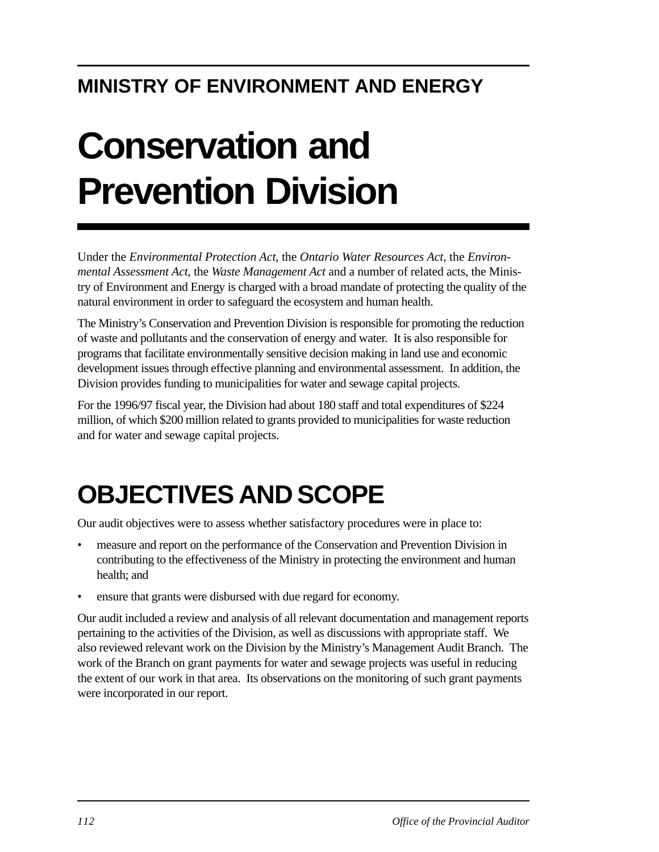# **MINISTRY OF ENVIRONMENT AND ENERGY**

# **Conservation and Prevention Division**

Under the *Environmental Protection Act*, the *Ontario Water Resources Act*, the *Environmental Assessment Act*, the *Waste Management Act* and a number of related acts, the Ministry of Environment and Energy is charged with a broad mandate of protecting the quality of the natural environment in order to safeguard the ecosystem and human health.

The Ministry's Conservation and Prevention Division is responsible for promoting the reduction of waste and pollutants and the conservation of energy and water. It is also responsible for programs that facilitate environmentally sensitive decision making in land use and economic development issues through effective planning and environmental assessment. In addition, the Division provides funding to municipalities for water and sewage capital projects.

For the 1996/97 fiscal year, the Division had about 180 staff and total expenditures of \$224 million, of which \$200 million related to grants provided to municipalities for waste reduction and for water and sewage capital projects.

# **OBJECTIVES AND SCOPE**

Our audit objectives were to assess whether satisfactory procedures were in place to:

- measure and report on the performance of the Conservation and Prevention Division in contributing to the effectiveness of the Ministry in protecting the environment and human health; and
- ensure that grants were disbursed with due regard for economy.

Our audit included a review and analysis of all relevant documentation and management reports pertaining to the activities of the Division, as well as discussions with appropriate staff. We also reviewed relevant work on the Division by the Ministry's Management Audit Branch. The work of the Branch on grant payments for water and sewage projects was useful in reducing the extent of our work in that area. Its observations on the monitoring of such grant payments were incorporated in our report.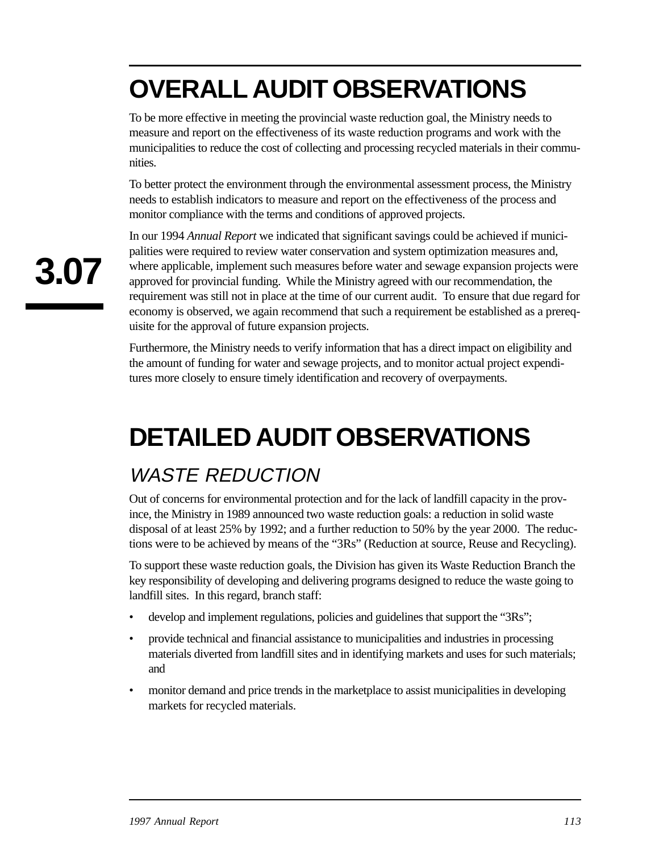# **OVERALL AUDIT OBSERVATIONS**

To be more effective in meeting the provincial waste reduction goal, the Ministry needs to measure and report on the effectiveness of its waste reduction programs and work with the municipalities to reduce the cost of collecting and processing recycled materials in their communities.

To better protect the environment through the environmental assessment process, the Ministry needs to establish indicators to measure and report on the effectiveness of the process and monitor compliance with the terms and conditions of approved projects.

In our 1994 *Annual Report* we indicated that significant savings could be achieved if municipalities were required to review water conservation and system optimization measures and, where applicable, implement such measures before water and sewage expansion projects were approved for provincial funding. While the Ministry agreed with our recommendation, the requirement was still not in place at the time of our current audit. To ensure that due regard for economy is observed, we again recommend that such a requirement be established as a prerequisite for the approval of future expansion projects.

Furthermore, the Ministry needs to verify information that has a direct impact on eligibility and the amount of funding for water and sewage projects, and to monitor actual project expenditures more closely to ensure timely identification and recovery of overpayments.

# **DETAILED AUDIT OBSERVATIONS**

## WASTE REDUCTION

Out of concerns for environmental protection and for the lack of landfill capacity in the province, the Ministry in 1989 announced two waste reduction goals: a reduction in solid waste disposal of at least 25% by 1992; and a further reduction to 50% by the year 2000. The reductions were to be achieved by means of the "3Rs" (Reduction at source, Reuse and Recycling).

To support these waste reduction goals, the Division has given its Waste Reduction Branch the key responsibility of developing and delivering programs designed to reduce the waste going to landfill sites. In this regard, branch staff:

- develop and implement regulations, policies and guidelines that support the "3Rs";
- provide technical and financial assistance to municipalities and industries in processing materials diverted from landfill sites and in identifying markets and uses for such materials; and
- monitor demand and price trends in the marketplace to assist municipalities in developing markets for recycled materials.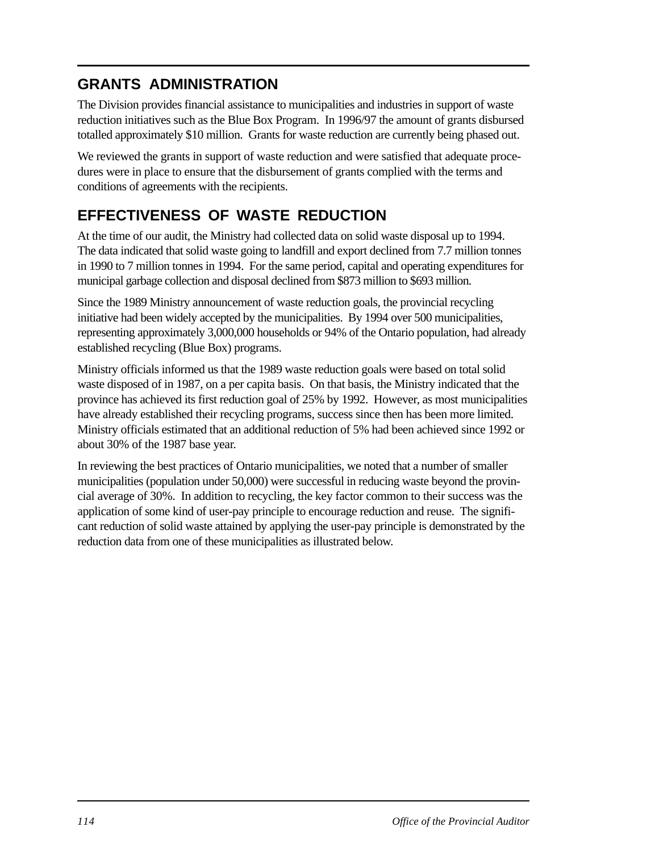## **GRANTS ADMINISTRATION**

The Division provides financial assistance to municipalities and industries in support of waste reduction initiatives such as the Blue Box Program. In 1996/97 the amount of grants disbursed totalled approximately \$10 million. Grants for waste reduction are currently being phased out.

We reviewed the grants in support of waste reduction and were satisfied that adequate procedures were in place to ensure that the disbursement of grants complied with the terms and conditions of agreements with the recipients.

## **EFFECTIVENESS OF WASTE REDUCTION**

At the time of our audit, the Ministry had collected data on solid waste disposal up to 1994. The data indicated that solid waste going to landfill and export declined from 7.7 million tonnes in 1990 to 7 million tonnes in 1994. For the same period, capital and operating expenditures for municipal garbage collection and disposal declined from \$873 million to \$693 million.

Since the 1989 Ministry announcement of waste reduction goals, the provincial recycling initiative had been widely accepted by the municipalities. By 1994 over 500 municipalities, representing approximately 3,000,000 households or 94% of the Ontario population, had already established recycling (Blue Box) programs.

Ministry officials informed us that the 1989 waste reduction goals were based on total solid waste disposed of in 1987, on a per capita basis. On that basis, the Ministry indicated that the province has achieved its first reduction goal of 25% by 1992. However, as most municipalities have already established their recycling programs, success since then has been more limited. Ministry officials estimated that an additional reduction of 5% had been achieved since 1992 or about 30% of the 1987 base year.

In reviewing the best practices of Ontario municipalities, we noted that a number of smaller municipalities (population under 50,000) were successful in reducing waste beyond the provincial average of 30%. In addition to recycling, the key factor common to their success was the application of some kind of user-pay principle to encourage reduction and reuse. The significant reduction of solid waste attained by applying the user-pay principle is demonstrated by the reduction data from one of these municipalities as illustrated below.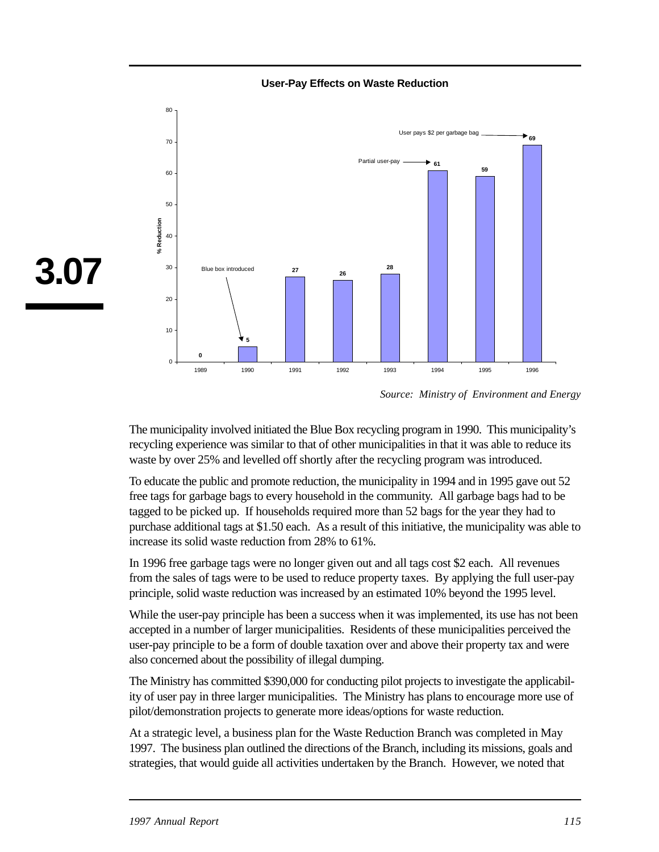**User-Pay Effects on Waste Reduction** 



*Source: Ministry of Environment and Energy* 

The municipality involved initiated the Blue Box recycling program in 1990. This municipality's recycling experience was similar to that of other municipalities in that it was able to reduce its waste by over 25% and levelled off shortly after the recycling program was introduced.

To educate the public and promote reduction, the municipality in 1994 and in 1995 gave out 52 free tags for garbage bags to every household in the community. All garbage bags had to be tagged to be picked up. If households required more than 52 bags for the year they had to purchase additional tags at \$1.50 each. As a result of this initiative, the municipality was able to increase its solid waste reduction from 28% to 61%.

In 1996 free garbage tags were no longer given out and all tags cost \$2 each. All revenues from the sales of tags were to be used to reduce property taxes. By applying the full user-pay principle, solid waste reduction was increased by an estimated 10% beyond the 1995 level.

While the user-pay principle has been a success when it was implemented, its use has not been accepted in a number of larger municipalities. Residents of these municipalities perceived the user-pay principle to be a form of double taxation over and above their property tax and were also concerned about the possibility of illegal dumping.

The Ministry has committed \$390,000 for conducting pilot projects to investigate the applicability of user pay in three larger municipalities. The Ministry has plans to encourage more use of pilot/demonstration projects to generate more ideas/options for waste reduction.

At a strategic level, a business plan for the Waste Reduction Branch was completed in May 1997. The business plan outlined the directions of the Branch, including its missions, goals and strategies, that would guide all activities undertaken by the Branch. However, we noted that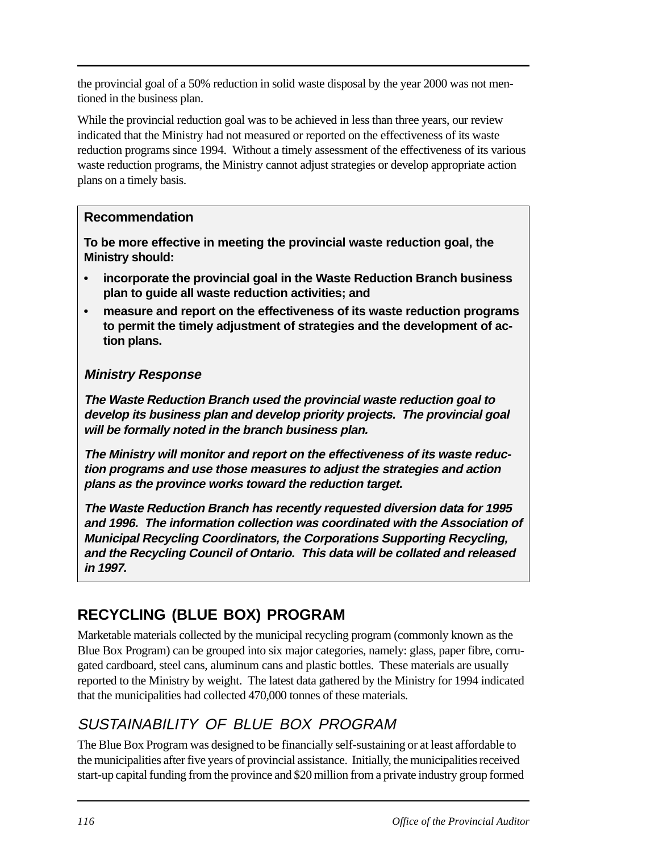the provincial goal of a 50% reduction in solid waste disposal by the year 2000 was not mentioned in the business plan.

While the provincial reduction goal was to be achieved in less than three years, our review indicated that the Ministry had not measured or reported on the effectiveness of its waste reduction programs since 1994. Without a timely assessment of the effectiveness of its various waste reduction programs, the Ministry cannot adjust strategies or develop appropriate action plans on a timely basis.

### **Recommendation**

**To be more effective in meeting the provincial waste reduction goal, the Ministry should:** 

- **• incorporate the provincial goal in the Waste Reduction Branch business plan to guide all waste reduction activities; and**
- **• measure and report on the effectiveness of its waste reduction programs to permit the timely adjustment of strategies and the development of action plans.**

### **Ministry Response**

**The Waste Reduction Branch used the provincial waste reduction goal to develop its business plan and develop priority projects. The provincial goal will be formally noted in the branch business plan.** 

**The Ministry will monitor and report on the effectiveness of its waste reduction programs and use those measures to adjust the strategies and action plans as the province works toward the reduction target.** 

**The Waste Reduction Branch has recently requested diversion data for 1995 and 1996. The information collection was coordinated with the Association of Municipal Recycling Coordinators, the Corporations Supporting Recycling, and the Recycling Council of Ontario. This data will be collated and released in 1997.** 

## **RECYCLING (BLUE BOX) PROGRAM**

Marketable materials collected by the municipal recycling program (commonly known as the Blue Box Program) can be grouped into six major categories, namely: glass, paper fibre, corrugated cardboard, steel cans, aluminum cans and plastic bottles. These materials are usually reported to the Ministry by weight. The latest data gathered by the Ministry for 1994 indicated that the municipalities had collected 470,000 tonnes of these materials.

## SUSTAINABILITY OF BLUE BOX PROGRAM

The Blue Box Program was designed to be financially self-sustaining or at least affordable to the municipalities after five years of provincial assistance. Initially, the municipalities received start-up capital funding from the province and \$20 million from a private industry group formed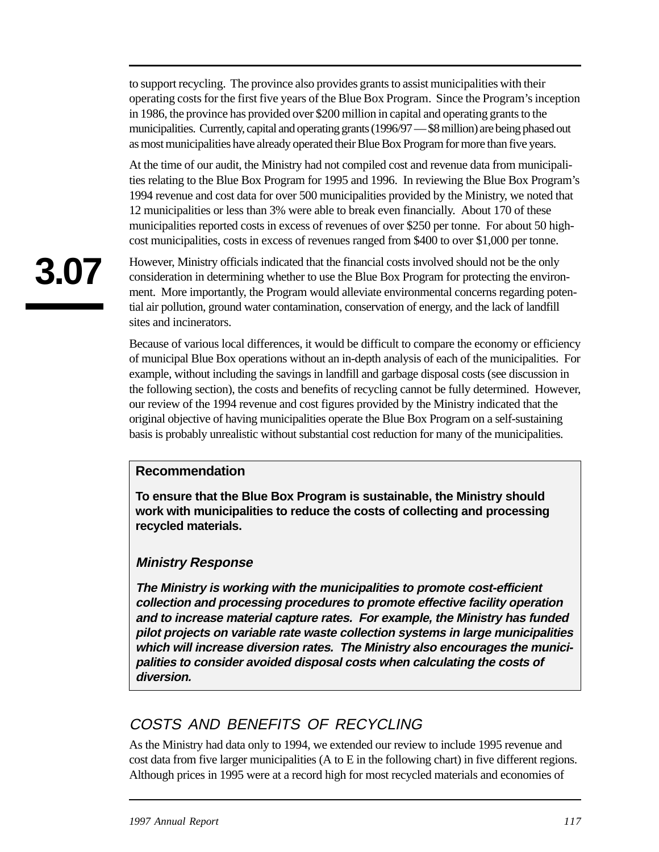to support recycling. The province also provides grants to assist municipalities with their operating costs for the first five years of the Blue Box Program. Since the Program's inception in 1986, the province has provided over \$200 million in capital and operating grants to the municipalities. Currently, capital and operating grants (1996/97 — \$8 million) are being phased out as most municipalities have already operated their Blue Box Program for more than five years.

At the time of our audit, the Ministry had not compiled cost and revenue data from municipalities relating to the Blue Box Program for 1995 and 1996. In reviewing the Blue Box Program's 1994 revenue and cost data for over 500 municipalities provided by the Ministry, we noted that 12 municipalities or less than 3% were able to break even financially. About 170 of these municipalities reported costs in excess of revenues of over \$250 per tonne. For about 50 highcost municipalities, costs in excess of revenues ranged from \$400 to over \$1,000 per tonne.

However, Ministry officials indicated that the financial costs involved should not be the only consideration in determining whether to use the Blue Box Program for protecting the environment. More importantly, the Program would alleviate environmental concerns regarding potential air pollution, ground water contamination, conservation of energy, and the lack of landfill sites and incinerators.

Because of various local differences, it would be difficult to compare the economy or efficiency of municipal Blue Box operations without an in-depth analysis of each of the municipalities. For example, without including the savings in landfill and garbage disposal costs (see discussion in the following section), the costs and benefits of recycling cannot be fully determined. However, our review of the 1994 revenue and cost figures provided by the Ministry indicated that the original objective of having municipalities operate the Blue Box Program on a self-sustaining basis is probably unrealistic without substantial cost reduction for many of the municipalities.

### **Recommendation**

**To ensure that the Blue Box Program is sustainable, the Ministry should work with municipalities to reduce the costs of collecting and processing recycled materials.** 

### **Ministry Response**

**The Ministry is working with the municipalities to promote cost-efficient collection and processing procedures to promote effective facility operation and to increase material capture rates. For example, the Ministry has funded pilot projects on variable rate waste collection systems in large municipalities which will increase diversion rates. The Ministry also encourages the municipalities to consider avoided disposal costs when calculating the costs of diversion.** 

## COSTS AND BENEFITS OF RECYCLING

As the Ministry had data only to 1994, we extended our review to include 1995 revenue and cost data from five larger municipalities (A to E in the following chart) in five different regions. Although prices in 1995 were at a record high for most recycled materials and economies of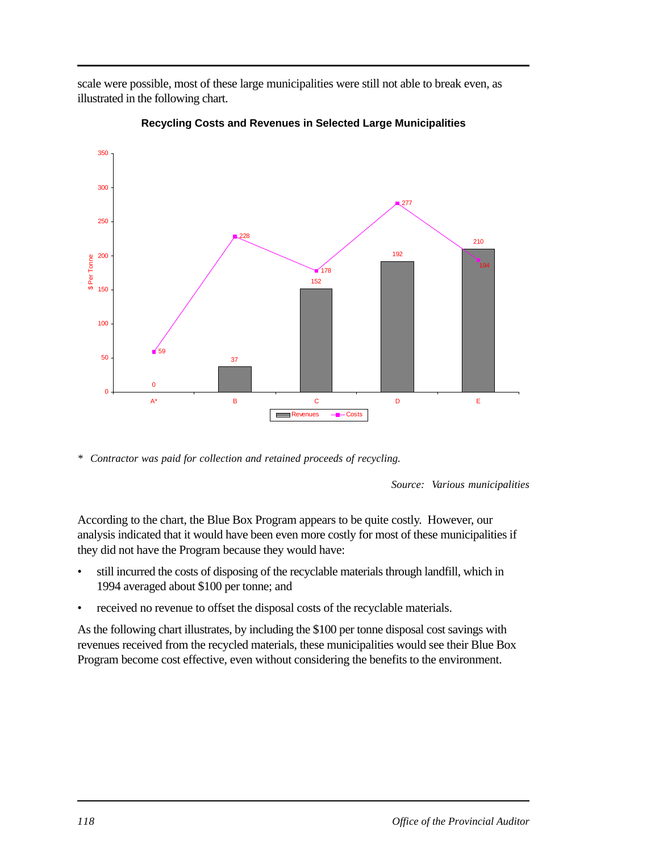scale were possible, most of these large municipalities were still not able to break even, as illustrated in the following chart.



**Recycling Costs and Revenues in Selected Large Municipalities** 

*\* Contractor was paid for collection and retained proceeds of recycling.* 

*Source: Various municipalities* 

According to the chart, the Blue Box Program appears to be quite costly. However, our analysis indicated that it would have been even more costly for most of these municipalities if they did not have the Program because they would have:

- still incurred the costs of disposing of the recyclable materials through landfill, which in 1994 averaged about \$100 per tonne; and
- received no revenue to offset the disposal costs of the recyclable materials.

As the following chart illustrates, by including the \$100 per tonne disposal cost savings with revenues received from the recycled materials, these municipalities would see their Blue Box Program become cost effective, even without considering the benefits to the environment.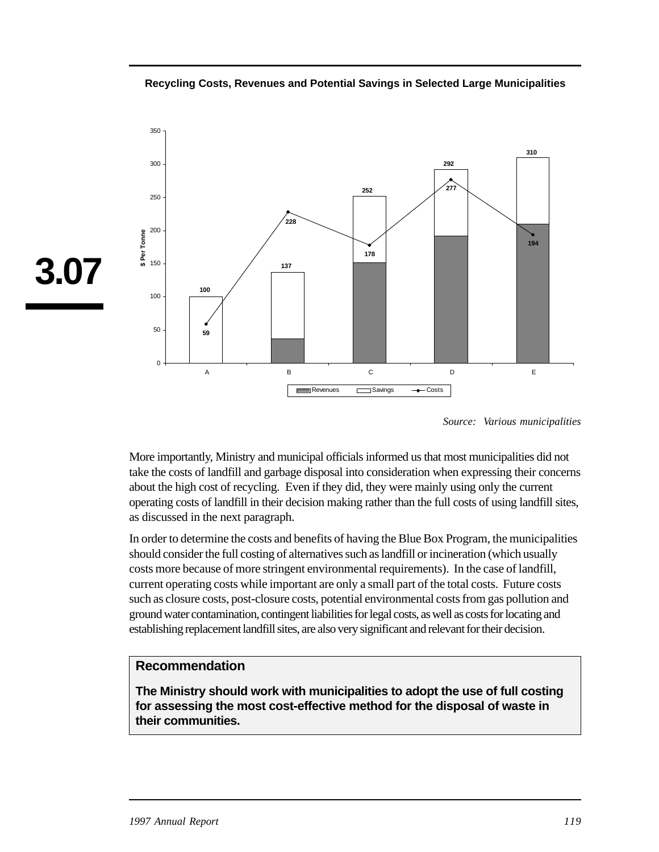**Recycling Costs, Revenues and Potential Savings in Selected Large Municipalities** 



*Source: Various municipalities* 

More importantly, Ministry and municipal officials informed us that most municipalities did not take the costs of landfill and garbage disposal into consideration when expressing their concerns about the high cost of recycling. Even if they did, they were mainly using only the current operating costs of landfill in their decision making rather than the full costs of using landfill sites, as discussed in the next paragraph.

In order to determine the costs and benefits of having the Blue Box Program, the municipalities should consider the full costing of alternatives such as landfill or incineration (which usually costs more because of more stringent environmental requirements). In the case of landfill, current operating costs while important are only a small part of the total costs. Future costs such as closure costs, post-closure costs, potential environmental costs from gas pollution and ground water contamination, contingent liabilities for legal costs, as well as costs for locating and establishing replacement landfill sites, are also very significant and relevant for their decision.

#### **Recommendation**

**The Ministry should work with municipalities to adopt the use of full costing for assessing the most cost-effective method for the disposal of waste in their communities.**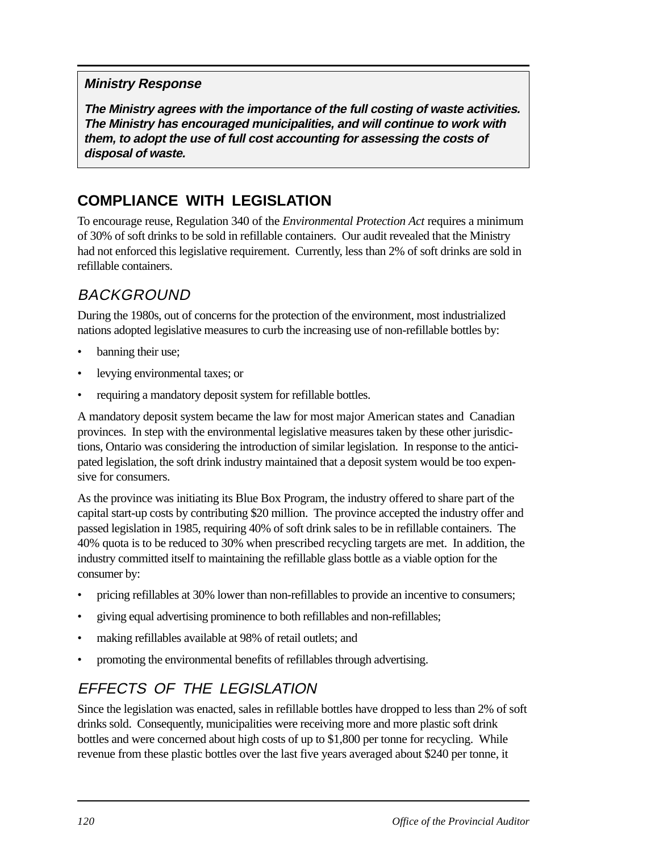## **Ministry Response**

**The Ministry agrees with the importance of the full costing of waste activities. The Ministry has encouraged municipalities, and will continue to work with them, to adopt the use of full cost accounting for assessing the costs of disposal of waste.** 

## **COMPLIANCE WITH LEGISLATION**

To encourage reuse, Regulation 340 of the *Environmental Protection Act* requires a minimum of 30% of soft drinks to be sold in refillable containers. Our audit revealed that the Ministry had not enforced this legislative requirement. Currently, less than 2% of soft drinks are sold in refillable containers.

## BACKGROUND

During the 1980s, out of concerns for the protection of the environment, most industrialized nations adopted legislative measures to curb the increasing use of non-refillable bottles by:

- banning their use;
- levying environmental taxes; or
- requiring a mandatory deposit system for refillable bottles.

A mandatory deposit system became the law for most major American states and Canadian provinces. In step with the environmental legislative measures taken by these other jurisdictions, Ontario was considering the introduction of similar legislation. In response to the anticipated legislation, the soft drink industry maintained that a deposit system would be too expensive for consumers.

As the province was initiating its Blue Box Program, the industry offered to share part of the capital start-up costs by contributing \$20 million. The province accepted the industry offer and passed legislation in 1985, requiring 40% of soft drink sales to be in refillable containers. The 40% quota is to be reduced to 30% when prescribed recycling targets are met. In addition, the industry committed itself to maintaining the refillable glass bottle as a viable option for the consumer by:

- pricing refillables at 30% lower than non-refillables to provide an incentive to consumers;
- giving equal advertising prominence to both refillables and non-refillables;
- making refillables available at 98% of retail outlets; and
- promoting the environmental benefits of refillables through advertising.

## EFFECTS OF THE LEGISLATION

Since the legislation was enacted, sales in refillable bottles have dropped to less than 2% of soft drinks sold. Consequently, municipalities were receiving more and more plastic soft drink bottles and were concerned about high costs of up to \$1,800 per tonne for recycling. While revenue from these plastic bottles over the last five years averaged about \$240 per tonne, it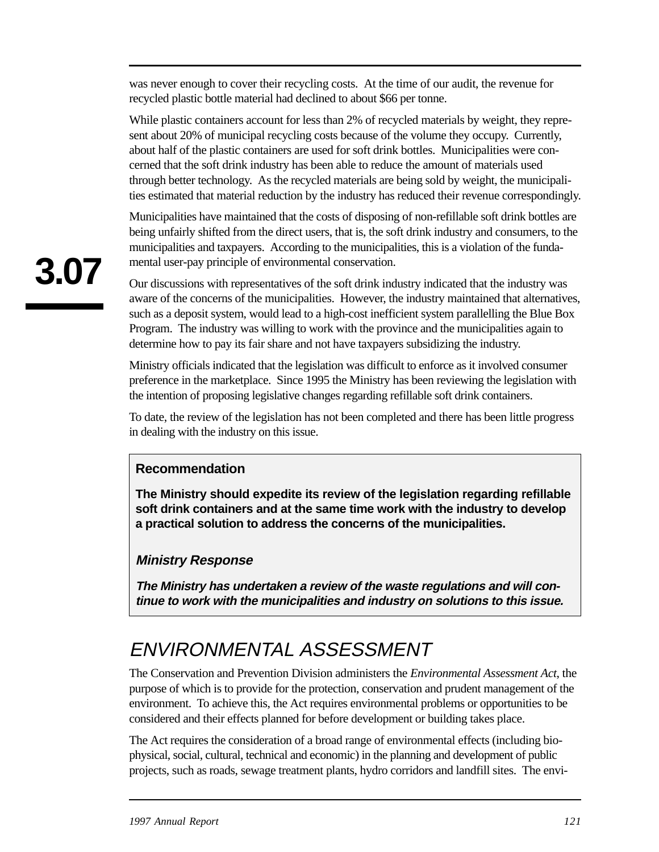was never enough to cover their recycling costs. At the time of our audit, the revenue for recycled plastic bottle material had declined to about \$66 per tonne.

While plastic containers account for less than 2% of recycled materials by weight, they represent about 20% of municipal recycling costs because of the volume they occupy. Currently, about half of the plastic containers are used for soft drink bottles. Municipalities were concerned that the soft drink industry has been able to reduce the amount of materials used through better technology. As the recycled materials are being sold by weight, the municipalities estimated that material reduction by the industry has reduced their revenue correspondingly.

Municipalities have maintained that the costs of disposing of non-refillable soft drink bottles are being unfairly shifted from the direct users, that is, the soft drink industry and consumers, to the municipalities and taxpayers. According to the municipalities, this is a violation of the fundamental user-pay principle of environmental conservation.

Our discussions with representatives of the soft drink industry indicated that the industry was aware of the concerns of the municipalities. However, the industry maintained that alternatives, such as a deposit system, would lead to a high-cost inefficient system parallelling the Blue Box Program. The industry was willing to work with the province and the municipalities again to determine how to pay its fair share and not have taxpayers subsidizing the industry.

Ministry officials indicated that the legislation was difficult to enforce as it involved consumer preference in the marketplace. Since 1995 the Ministry has been reviewing the legislation with the intention of proposing legislative changes regarding refillable soft drink containers.

To date, the review of the legislation has not been completed and there has been little progress in dealing with the industry on this issue.

### **Recommendation**

**The Ministry should expedite its review of the legislation regarding refillable soft drink containers and at the same time work with the industry to develop a practical solution to address the concerns of the municipalities.** 

### **Ministry Response**

**The Ministry has undertaken a review of the waste regulations and will continue to work with the municipalities and industry on solutions to this issue.** 

# ENVIRONMENTAL ASSESSMENT

The Conservation and Prevention Division administers the *Environmental Assessment Act*, the purpose of which is to provide for the protection, conservation and prudent management of the environment. To achieve this, the Act requires environmental problems or opportunities to be considered and their effects planned for before development or building takes place.

The Act requires the consideration of a broad range of environmental effects (including biophysical, social, cultural, technical and economic) in the planning and development of public projects, such as roads, sewage treatment plants, hydro corridors and landfill sites. The envi-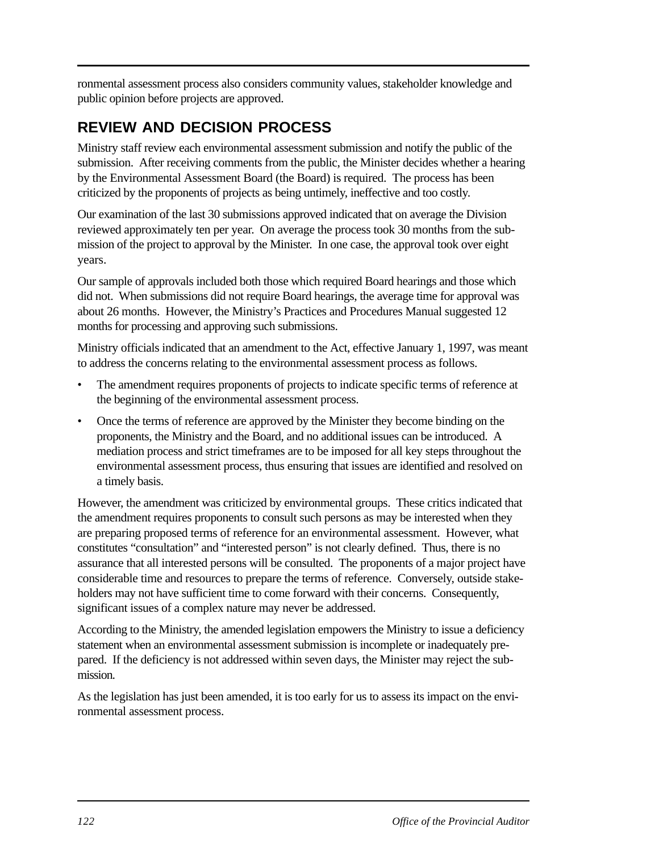ronmental assessment process also considers community values, stakeholder knowledge and public opinion before projects are approved.

## **REVIEW AND DECISION PROCESS**

Ministry staff review each environmental assessment submission and notify the public of the submission. After receiving comments from the public, the Minister decides whether a hearing by the Environmental Assessment Board (the Board) is required. The process has been criticized by the proponents of projects as being untimely, ineffective and too costly.

Our examination of the last 30 submissions approved indicated that on average the Division reviewed approximately ten per year. On average the process took 30 months from the submission of the project to approval by the Minister. In one case, the approval took over eight years.

Our sample of approvals included both those which required Board hearings and those which did not. When submissions did not require Board hearings, the average time for approval was about 26 months. However, the Ministry's Practices and Procedures Manual suggested 12 months for processing and approving such submissions.

Ministry officials indicated that an amendment to the Act, effective January 1, 1997, was meant to address the concerns relating to the environmental assessment process as follows.

- The amendment requires proponents of projects to indicate specific terms of reference at the beginning of the environmental assessment process.
- Once the terms of reference are approved by the Minister they become binding on the proponents, the Ministry and the Board, and no additional issues can be introduced. A mediation process and strict timeframes are to be imposed for all key steps throughout the environmental assessment process, thus ensuring that issues are identified and resolved on a timely basis.

However, the amendment was criticized by environmental groups. These critics indicated that the amendment requires proponents to consult such persons as may be interested when they are preparing proposed terms of reference for an environmental assessment. However, what constitutes "consultation" and "interested person" is not clearly defined. Thus, there is no assurance that all interested persons will be consulted. The proponents of a major project have considerable time and resources to prepare the terms of reference. Conversely, outside stakeholders may not have sufficient time to come forward with their concerns. Consequently, significant issues of a complex nature may never be addressed.

According to the Ministry, the amended legislation empowers the Ministry to issue a deficiency statement when an environmental assessment submission is incomplete or inadequately prepared. If the deficiency is not addressed within seven days, the Minister may reject the submission.

As the legislation has just been amended, it is too early for us to assess its impact on the environmental assessment process.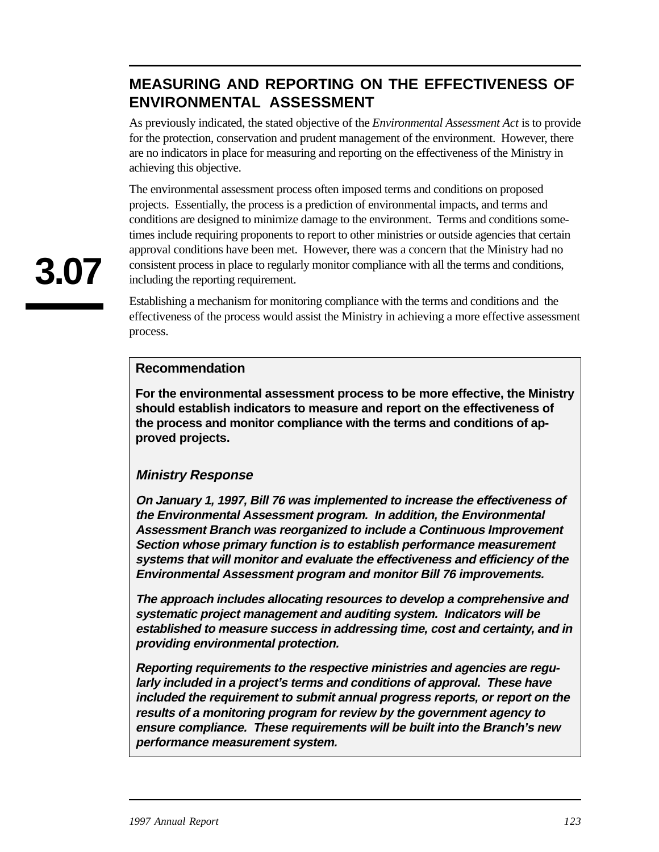## **MEASURING AND REPORTING ON THE EFFECTIVENESS OF ENVIRONMENTAL ASSESSMENT**

As previously indicated, the stated objective of the *Environmental Assessment Act* is to provide for the protection, conservation and prudent management of the environment. However, there are no indicators in place for measuring and reporting on the effectiveness of the Ministry in achieving this objective.

The environmental assessment process often imposed terms and conditions on proposed projects. Essentially, the process is a prediction of environmental impacts, and terms and conditions are designed to minimize damage to the environment. Terms and conditions sometimes include requiring proponents to report to other ministries or outside agencies that certain approval conditions have been met. However, there was a concern that the Ministry had no consistent process in place to regularly monitor compliance with all the terms and conditions, including the reporting requirement.

Establishing a mechanism for monitoring compliance with the terms and conditions and the effectiveness of the process would assist the Ministry in achieving a more effective assessment process.

#### **Recommendation**

**For the environmental assessment process to be more effective, the Ministry should establish indicators to measure and report on the effectiveness of the process and monitor compliance with the terms and conditions of approved projects.** 

#### **Ministry Response**

**On January 1, 1997, Bill 76 was implemented to increase the effectiveness of the Environmental Assessment program. In addition, the Environmental Assessment Branch was reorganized to include a Continuous Improvement Section whose primary function is to establish performance measurement systems that will monitor and evaluate the effectiveness and efficiency of the Environmental Assessment program and monitor Bill 76 improvements.** 

**The approach includes allocating resources to develop a comprehensive and systematic project management and auditing system. Indicators will be established to measure success in addressing time, cost and certainty, and in providing environmental protection.** 

**Reporting requirements to the respective ministries and agencies are regularly included in a project's terms and conditions of approval. These have included the requirement to submit annual progress reports, or report on the results of a monitoring program for review by the government agency to ensure compliance. These requirements will be built into the Branch's new performance measurement system.**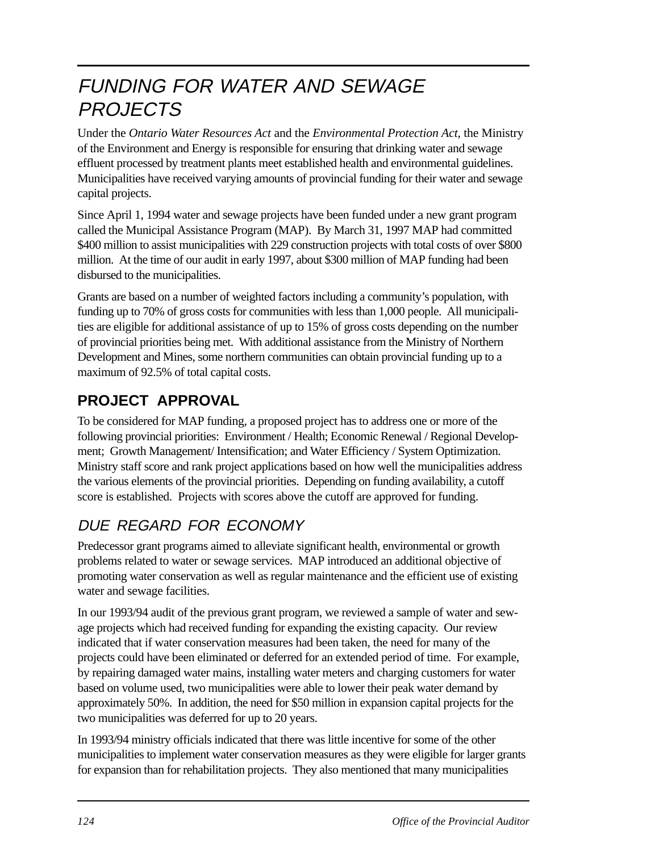# FUNDING FOR WATER AND SEWAGE **PROJECTS**

Under the *Ontario Water Resources Act* and the *Environmental Protection Act*, the Ministry of the Environment and Energy is responsible for ensuring that drinking water and sewage effluent processed by treatment plants meet established health and environmental guidelines. Municipalities have received varying amounts of provincial funding for their water and sewage capital projects.

Since April 1, 1994 water and sewage projects have been funded under a new grant program called the Municipal Assistance Program (MAP). By March 31, 1997 MAP had committed \$400 million to assist municipalities with 229 construction projects with total costs of over \$800 million. At the time of our audit in early 1997, about \$300 million of MAP funding had been disbursed to the municipalities.

Grants are based on a number of weighted factors including a community's population, with funding up to 70% of gross costs for communities with less than 1,000 people. All municipalities are eligible for additional assistance of up to 15% of gross costs depending on the number of provincial priorities being met. With additional assistance from the Ministry of Northern Development and Mines, some northern communities can obtain provincial funding up to a maximum of 92.5% of total capital costs.

## **PROJECT APPROVAL**

To be considered for MAP funding, a proposed project has to address one or more of the following provincial priorities: Environment / Health; Economic Renewal / Regional Development; Growth Management/ Intensification; and Water Efficiency / System Optimization. Ministry staff score and rank project applications based on how well the municipalities address the various elements of the provincial priorities. Depending on funding availability, a cutoff score is established. Projects with scores above the cutoff are approved for funding.

## DUE REGARD FOR ECONOMY

Predecessor grant programs aimed to alleviate significant health, environmental or growth problems related to water or sewage services. MAP introduced an additional objective of promoting water conservation as well as regular maintenance and the efficient use of existing water and sewage facilities.

In our 1993/94 audit of the previous grant program, we reviewed a sample of water and sewage projects which had received funding for expanding the existing capacity. Our review indicated that if water conservation measures had been taken, the need for many of the projects could have been eliminated or deferred for an extended period of time. For example, by repairing damaged water mains, installing water meters and charging customers for water based on volume used, two municipalities were able to lower their peak water demand by approximately 50%. In addition, the need for \$50 million in expansion capital projects for the two municipalities was deferred for up to 20 years.

In 1993/94 ministry officials indicated that there was little incentive for some of the other municipalities to implement water conservation measures as they were eligible for larger grants for expansion than for rehabilitation projects. They also mentioned that many municipalities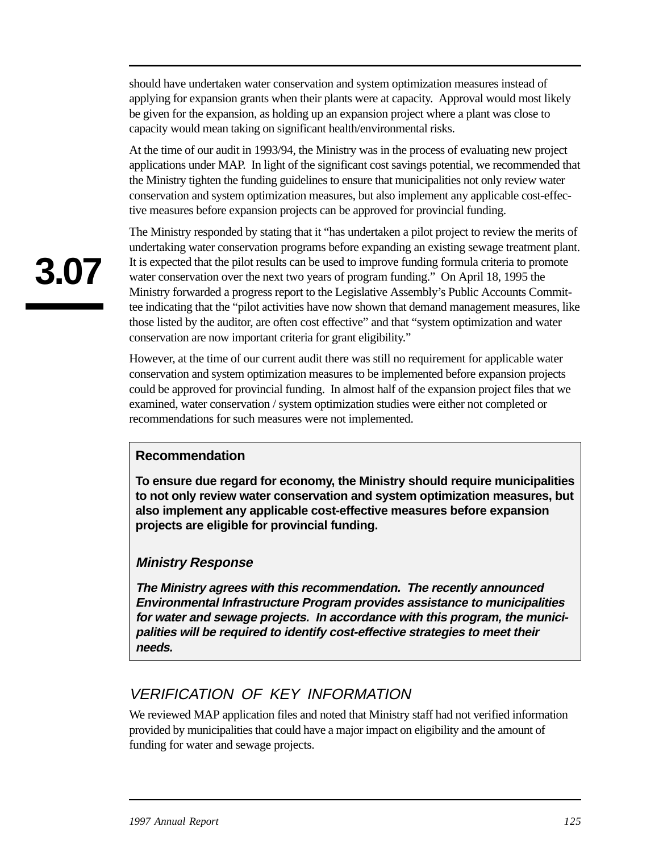should have undertaken water conservation and system optimization measures instead of applying for expansion grants when their plants were at capacity. Approval would most likely be given for the expansion, as holding up an expansion project where a plant was close to capacity would mean taking on significant health/environmental risks.

At the time of our audit in 1993/94, the Ministry was in the process of evaluating new project applications under MAP. In light of the significant cost savings potential, we recommended that the Ministry tighten the funding guidelines to ensure that municipalities not only review water conservation and system optimization measures, but also implement any applicable cost-effective measures before expansion projects can be approved for provincial funding.

The Ministry responded by stating that it "has undertaken a pilot project to review the merits of undertaking water conservation programs before expanding an existing sewage treatment plant. It is expected that the pilot results can be used to improve funding formula criteria to promote water conservation over the next two years of program funding." On April 18, 1995 the Ministry forwarded a progress report to the Legislative Assembly's Public Accounts Committee indicating that the "pilot activities have now shown that demand management measures, like those listed by the auditor, are often cost effective" and that "system optimization and water conservation are now important criteria for grant eligibility."

However, at the time of our current audit there was still no requirement for applicable water conservation and system optimization measures to be implemented before expansion projects could be approved for provincial funding. In almost half of the expansion project files that we examined, water conservation / system optimization studies were either not completed or recommendations for such measures were not implemented.

### **Recommendation**

**To ensure due regard for economy, the Ministry should require municipalities to not only review water conservation and system optimization measures, but also implement any applicable cost-effective measures before expansion projects are eligible for provincial funding.** 

#### **Ministry Response**

**The Ministry agrees with this recommendation. The recently announced Environmental Infrastructure Program provides assistance to municipalities for water and sewage projects. In accordance with this program, the municipalities will be required to identify cost-effective strategies to meet their needs.** 

## VERIFICATION OF KEY INFORMATION

We reviewed MAP application files and noted that Ministry staff had not verified information provided by municipalities that could have a major impact on eligibility and the amount of funding for water and sewage projects.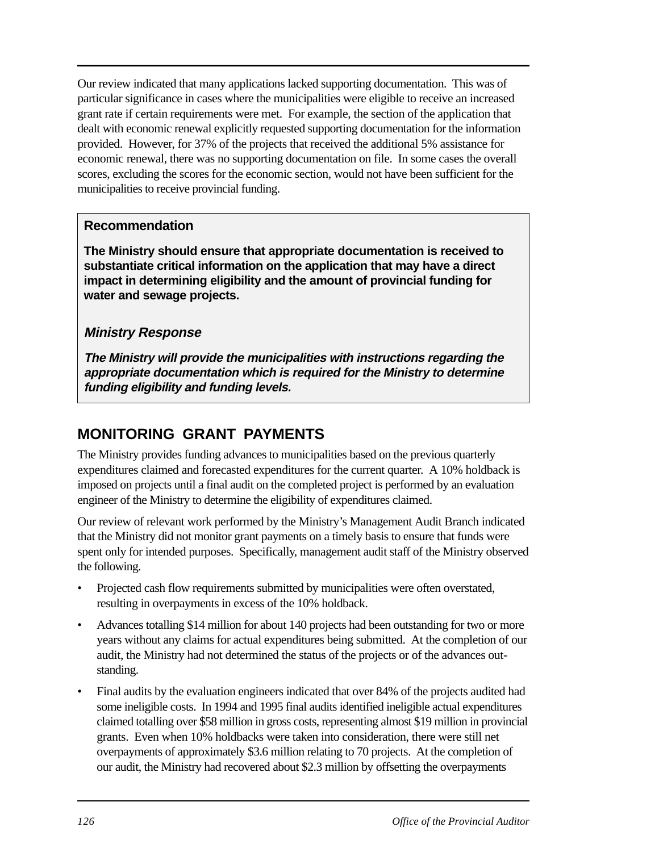Our review indicated that many applications lacked supporting documentation. This was of particular significance in cases where the municipalities were eligible to receive an increased grant rate if certain requirements were met. For example, the section of the application that dealt with economic renewal explicitly requested supporting documentation for the information provided. However, for 37% of the projects that received the additional 5% assistance for economic renewal, there was no supporting documentation on file. In some cases the overall scores, excluding the scores for the economic section, would not have been sufficient for the municipalities to receive provincial funding.

### **Recommendation**

**The Ministry should ensure that appropriate documentation is received to substantiate critical information on the application that may have a direct impact in determining eligibility and the amount of provincial funding for water and sewage projects.** 

## **Ministry Response**

**The Ministry will provide the municipalities with instructions regarding the appropriate documentation which is required for the Ministry to determine funding eligibility and funding levels.** 

## **MONITORING GRANT PAYMENTS**

The Ministry provides funding advances to municipalities based on the previous quarterly expenditures claimed and forecasted expenditures for the current quarter. A 10% holdback is imposed on projects until a final audit on the completed project is performed by an evaluation engineer of the Ministry to determine the eligibility of expenditures claimed.

Our review of relevant work performed by the Ministry's Management Audit Branch indicated that the Ministry did not monitor grant payments on a timely basis to ensure that funds were spent only for intended purposes. Specifically, management audit staff of the Ministry observed the following.

- Projected cash flow requirements submitted by municipalities were often overstated, resulting in overpayments in excess of the 10% holdback.
- Advances totalling \$14 million for about 140 projects had been outstanding for two or more years without any claims for actual expenditures being submitted. At the completion of our audit, the Ministry had not determined the status of the projects or of the advances outstanding.
- Final audits by the evaluation engineers indicated that over 84% of the projects audited had some ineligible costs. In 1994 and 1995 final audits identified ineligible actual expenditures claimed totalling over \$58 million in gross costs, representing almost \$19 million in provincial grants. Even when 10% holdbacks were taken into consideration, there were still net overpayments of approximately \$3.6 million relating to 70 projects. At the completion of our audit, the Ministry had recovered about \$2.3 million by offsetting the overpayments